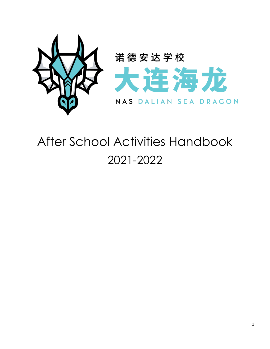

# After School Activities Handbook 2021-2022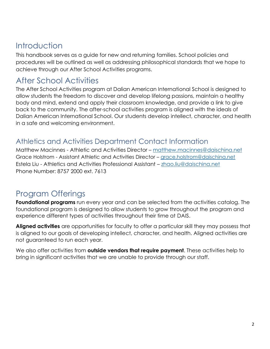#### **Introduction**

This handbook serves as a guide for new and returning families. School policies and procedures will be outlined as well as addressing philosophical standards that we hope to achieve through our After School Activities programs.

#### After School Activities

The After School Activities program at Dalian American International School is designed to allow students the freedom to discover and develop lifelong passions, maintain a healthy body and mind, extend and apply their classroom knowledge, and provide a link to give back to the community. The after-school activities program is aligned with the ideals of Dalian American International School. Our students develop intellect, character, and health in a safe and welcoming environment.

#### Athletics and Activities Department Contact Information

Matthew Macinnes - Athletic and Activities Director – [matthew.macinnes@daischina.net](mailto:matthew.macinnes@daischina.net) Grace Holstrom - Assistant Athletic and Activities Director – [grace.holstrom@daischina.net](mailto:grace.holmstrom@daischina.net) Estela Liu - Athletics and Activities Professional Assistant – [zhao.liu@daischina.net](mailto:zhao.liu@daischina.net) Phone Number: 8757 2000 ext. 7613

#### Program Offerings

Foundational programs run every year and can be selected from the activities catalog. The foundational program is designed to allow students to grow throughout the program and experience different types of activities throughout their time at DAIS.

**Aligned activities** are opportunities for faculty to offer a particular skill they may possess that is aligned to our goals of developing intellect, character, and health. Aligned activities are not guaranteed to run each year.

We also offer activities from **outside vendors that require payment**. These activities help to bring in significant activities that we are unable to provide through our staff.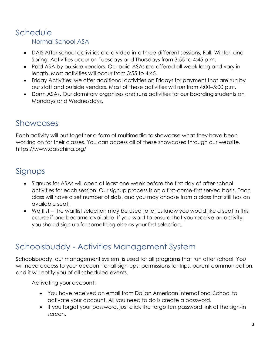# Schedule

#### Normal School ASA

- DAIS After-school activities are divided into three different sessions; Fall, Winter, and Spring. Activities occur on Tuesdays and Thursdays from 3:55 to 4:45 p.m.
- Paid ASA by outside vendors. Our paid ASAs are offered all week long and vary in length. Most activities will occur from 3:55 to 4:45.
- Friday Activities: we offer additional activities on Fridays for payment that are run by our staff and outside vendors. Most of these activities will run from 4:00–5:00 p.m.
- Dorm ASAs. Our dormitory organizes and runs activities for our boarding students on Mondays and Wednesdays.

#### Showcases

Each activity will put together a form of multimedia to showcase what they have been working on for their classes. You can access all of these showcases through our website. https://www.daischina.org/

### Signups

- Signups for ASAs will open at least one week before the first day of after-school activities for each session. Our signup process is on a first-come-first served basis. Each class will have a set number of slots, and you may choose from a class that still has an available seat.
- Waitlist The waitlist selection may be used to let us know you would like a seat in this course if one became available. If you want to ensure that you receive an activity, you should sign up for something else as your first selection.

#### Schoolsbuddy - Activities Management System

Schoolsbuddy, our management system, is used for all programs that run after school. You will need access to your account for all sign-ups, permissions for trips, parent communication, and it will notify you of all scheduled events.

Activating your account:

- You have received an email from Dalian American International School to activate your account. All you need to do is create a password.
- If you forget your password, just click the forgotten password link at the sign-in screen.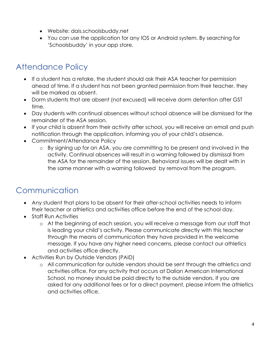- Website: dais.schoolsbuddy.net
- You can use the application for any IOS or Android system. By searching for 'Schoolsbuddy' in your app store.

## Attendance Policy

- If a student has a retake, the student should ask their ASA teacher for permission ahead of time. If a student has not been granted permission from their teacher, they will be marked as absent.
- Dorm students that are absent (not excused) will receive dorm detention after GST time.
- Day students with continual absences without school absence will be dismissed for the remainder of the ASA session.
- If your child is absent from their activity after school, you will receive an email and push notification through the application, informing you of your child's absence.
- Commitment/Attendance Policy
	- o By signing up for an ASA, you are committing to be present and involved in the activity. Continual absences will result in a warning followed by dismissal from the ASA for the remainder of the session. Behavioral issues will be dealt with in the same manner with a warning followed by removal from the program.

# Communication

- Any student that plans to be absent for their after-school activities needs to inform their teacher or athletics and activities office before the end of the school day.
- Staff Run Activities
	- o At the beginning of each session, you will receive a message from our staff that is leading your child's activity. Please communicate directly with this teacher through the means of communication they have provided in the welcome message. If you have any higher need concerns, please contact our athletics and activities office directly.
- Activities Run by Outside Vendors (PAID)
	- o All communication for outside vendors should be sent through the athletics and activities office. For any activity that occurs at Dalian American International School, no money should be paid directly to the outside vendors. If you are asked for any additional fees or for a direct payment, please inform the athletics and activities office.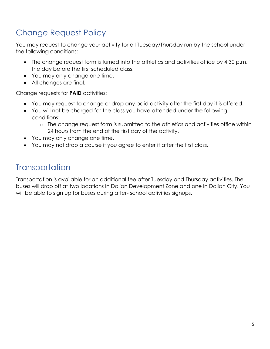# Change Request Policy

You may request to change your activity for all Tuesday/Thursday run by the school under the following conditions:

- The change request form is turned into the athletics and activities office by 4:30 p.m. the day before the first scheduled class.
- You may only change one time.
- All changes are final.

Change requests for **PAID** activities:

- You may request to change or drop any paid activity after the first day it is offered.
- You will not be charged for the class you have attended under the following conditions:
	- o The change request form is submitted to the athletics and activities office within 24 hours from the end of the first day of the activity.
- You may only change one time.
- You may not drop a course if you agree to enter it after the first class.

#### **Transportation**

Transportation is available for an additional fee after Tuesday and Thursday activities. The buses will drop off at two locations in Dalian Development Zone and one in Dalian City. You will be able to sign up for buses during after- school activities signups.